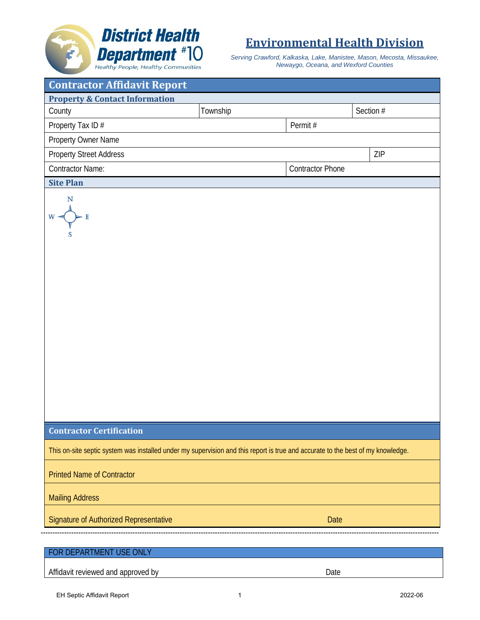## **Environmental Health Division**

*Serving Crawford, Kalkaska, Lake, Manistee, Mason, Mecosta, Missaukee, Newaygo, Oceana, and Wexford Counties*

| <b>Contractor Affidavit Report</b>                                                                                              |          |                         |           |  |
|---------------------------------------------------------------------------------------------------------------------------------|----------|-------------------------|-----------|--|
| <b>Property &amp; Contact Information</b>                                                                                       |          |                         |           |  |
| County                                                                                                                          | Township |                         | Section # |  |
| Property Tax ID#                                                                                                                |          | Permit#                 |           |  |
| Property Owner Name                                                                                                             |          |                         |           |  |
| <b>Property Street Address</b>                                                                                                  |          |                         | ZIP       |  |
| <b>Contractor Name:</b>                                                                                                         |          | <b>Contractor Phone</b> |           |  |
| <b>Site Plan</b>                                                                                                                |          |                         |           |  |
| N<br>$W =$                                                                                                                      |          |                         |           |  |
| <b>Contractor Certification</b>                                                                                                 |          |                         |           |  |
| This on-site septic system was installed under my supervision and this report is true and accurate to the best of my knowledge. |          |                         |           |  |
| <b>Printed Name of Contractor</b>                                                                                               |          |                         |           |  |
| <b>Mailing Address</b>                                                                                                          |          |                         |           |  |
| Signature of Authorized Representative                                                                                          |          | Date                    |           |  |
|                                                                                                                                 |          |                         |           |  |
| FOR DEPARTMENT USE ONLY                                                                                                         |          |                         |           |  |
| Affidavit reviewed and approved by                                                                                              |          | Date                    |           |  |

**District Health** 

**Department** #10